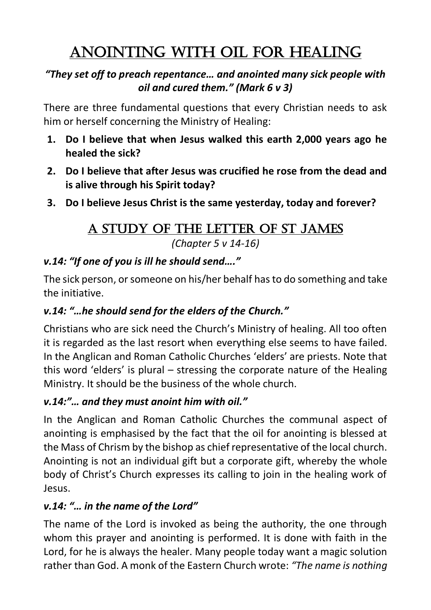# ANOINTING WITH OIL FOR HEALING

#### *"They set off to preach repentance… and anointed many sick people with oil and cured them." (Mark 6 v 3)*

There are three fundamental questions that every Christian needs to ask him or herself concerning the Ministry of Healing:

- **1. Do I believe that when Jesus walked this earth 2,000 years ago he healed the sick?**
- **2. Do I believe that after Jesus was crucified he rose from the dead and is alive through his Spirit today?**
- **3. Do I believe Jesus Christ is the same yesterday, today and forever?**

# A study of the Letter of St James

*(Chapter 5 v 14-16)*

#### *v.14: "If one of you is ill he should send…."*

The sick person, or someone on his/her behalf has to do something and take the initiative.

#### *v.14: "…he should send for the elders of the Church."*

Christians who are sick need the Church's Ministry of healing. All too often it is regarded as the last resort when everything else seems to have failed. In the Anglican and Roman Catholic Churches 'elders' are priests. Note that this word 'elders' is plural – stressing the corporate nature of the Healing Ministry. It should be the business of the whole church.

#### *v.14:"… and they must anoint him with oil."*

In the Anglican and Roman Catholic Churches the communal aspect of anointing is emphasised by the fact that the oil for anointing is blessed at the Mass of Chrism by the bishop as chief representative of the local church. Anointing is not an individual gift but a corporate gift, whereby the whole body of Christ's Church expresses its calling to join in the healing work of Jesus.

#### *v.14: "… in the name of the Lord"*

The name of the Lord is invoked as being the authority, the one through whom this prayer and anointing is performed. It is done with faith in the Lord, for he is always the healer. Many people today want a magic solution rather than God. A monk of the Eastern Church wrote: *"The name is nothing*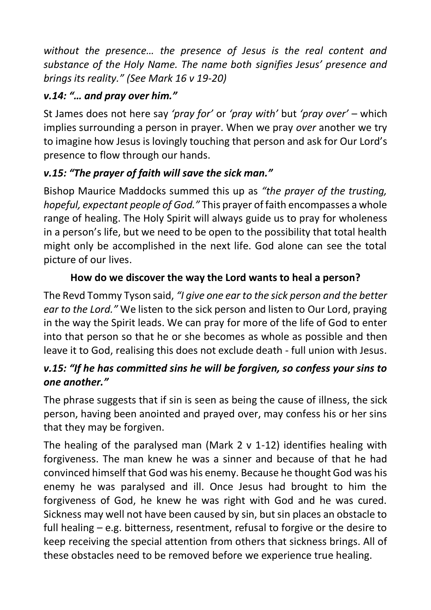*without the presence… the presence of Jesus is the real content and substance of the Holy Name. The name both signifies Jesus' presence and brings its reality." (See Mark 16 v 19-20)*

#### *v.14: "… and pray over him."*

St James does not here say *'pray for'* or *'pray with'* but *'pray over'* – which implies surrounding a person in prayer. When we pray *over* another we try to imagine how Jesus is lovingly touching that person and ask for Our Lord's presence to flow through our hands.

#### *v.15: "The prayer of faith will save the sick man."*

Bishop Maurice Maddocks summed this up as *"the prayer of the trusting, hopeful, expectant people of God."* This prayer of faith encompasses a whole range of healing. The Holy Spirit will always guide us to pray for wholeness in a person's life, but we need to be open to the possibility that total health might only be accomplished in the next life. God alone can see the total picture of our lives.

#### **How do we discover the way the Lord wants to heal a person?**

The Revd Tommy Tyson said, *"I give one ear to the sick person and the better ear to the Lord."* We listen to the sick person and listen to Our Lord, praying in the way the Spirit leads. We can pray for more of the life of God to enter into that person so that he or she becomes as whole as possible and then leave it to God, realising this does not exclude death - full union with Jesus.

#### *v.15: "If he has committed sins he will be forgiven, so confess your sins to one another."*

The phrase suggests that if sin is seen as being the cause of illness, the sick person, having been anointed and prayed over, may confess his or her sins that they may be forgiven.

The healing of the paralysed man (Mark  $2 \vee 1$ -12) identifies healing with forgiveness. The man knew he was a sinner and because of that he had convinced himself that God was his enemy. Because he thought God was his enemy he was paralysed and ill. Once Jesus had brought to him the forgiveness of God, he knew he was right with God and he was cured. Sickness may well not have been caused by sin, but sin places an obstacle to full healing – e.g. bitterness, resentment, refusal to forgive or the desire to keep receiving the special attention from others that sickness brings. All of these obstacles need to be removed before we experience true healing.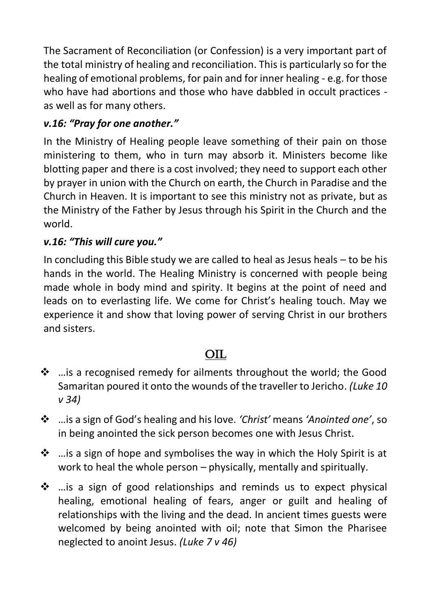The Sacrament of Reconciliation (or Confession) is a very important part of the total ministry of healing and reconciliation. This is particularly so for the healing of emotional problems, for pain and for inner healing - e.g. for those who have had abortions and those who have dabbled in occult practices as well as for many others.

#### *v.16: "Pray for one another."*

In the Ministry of Healing people leave something of their pain on those ministering to them, who in turn may absorb it. Ministers become like blotting paper and there is a cost involved; they need to support each other by prayer in union with the Church on earth, the Church in Paradise and the Church in Heaven. It is important to see this ministry not as private, but as the Ministry of the Father by Jesus through his Spirit in the Church and the world.

#### *v.16: "This will cure you."*

In concluding this Bible study we are called to heal as Jesus heals – to be his hands in the world. The Healing Ministry is concerned with people being made whole in body mind and spirity. It begins at the point of need and leads on to everlasting life. We come for Christ's healing touch. May we experience it and show that loving power of serving Christ in our brothers and sisters.

## OIL

- ❖ …is a recognised remedy for ailments throughout the world; the Good Samaritan poured it onto the wounds of the traveller to Jericho. *(Luke 10 v 34)*
- ❖ …is a sign of God's healing and his love. *'Christ'* means *'Anointed one'*, so in being anointed the sick person becomes one with Jesus Christ.
- ❖ …is a sign of hope and symbolises the way in which the Holy Spirit is at work to heal the whole person – physically, mentally and spiritually.
- ❖ …is a sign of good relationships and reminds us to expect physical healing, emotional healing of fears, anger or guilt and healing of relationships with the living and the dead. In ancient times guests were welcomed by being anointed with oil; note that Simon the Pharisee neglected to anoint Jesus. *(Luke 7 v 46)*